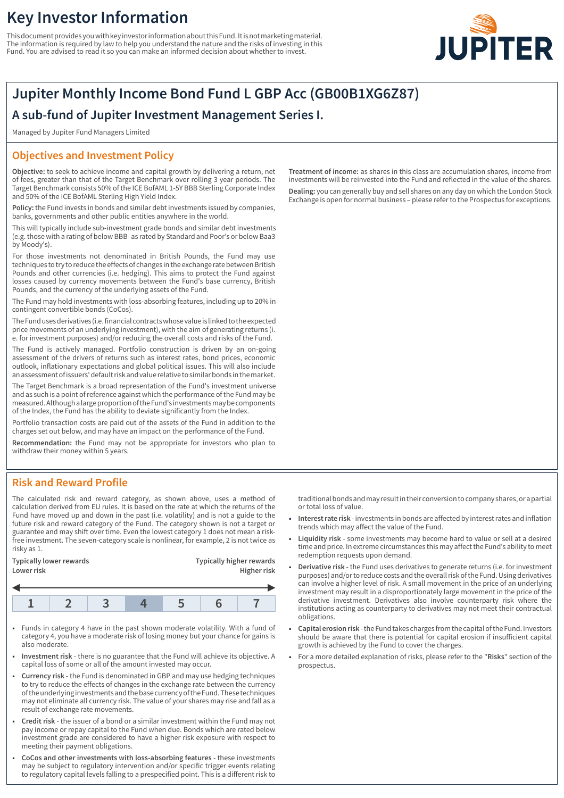# **Key Investor Information**

This document provides you with key investor information about this Fund. It is not marketing material. The information is required by law to help you understand the nature and the risks of investing in this Fund. You are advised to read it so you can make an informed decision about whether to invest.



# **Jupiter Monthly Income Bond Fund L GBP Acc (GB00B1XG6Z87)**

## **A sub-fund of Jupiter Investment Management Series I.**

Managed by Jupiter Fund Managers Limited

### **Objectives and Investment Policy**

**Objective:** to seek to achieve income and capital growth by delivering a return, net of fees, greater than that of the Target Benchmark over rolling 3 year periods. The Target Benchmark consists 50% of the ICE BofAML 1-5Y BBB Sterling Corporate Index and 50% of the ICE BofAML Sterling High Yield Index.

**Policy:** the Fund invests in bonds and similar debt investments issued by companies, banks, governments and other public entities anywhere in the world.

This will typically include sub-investment grade bonds and similar debt investments (e.g. those with a rating of below BBB- as rated by Standard and Poor's or below Baa3 by Moody's).

For those investments not denominated in British Pounds, the Fund may use techniques to try to reduce the effects of changes in the exchange rate between British Pounds and other currencies (i.e. hedging). This aims to protect the Fund against losses caused by currency movements between the Fund's base currency, British Pounds, and the currency of the underlying assets of the Fund.

The Fund may hold investments with loss-absorbing features, including up to 20% in contingent convertible bonds (CoCos).

The Fund uses derivatives (i.e. financial contracts whose value is linked to the expected price movements of an underlying investment), with the aim of generating returns (i. e. for investment purposes) and/or reducing the overall costs and risks of the Fund.

The Fund is actively managed. Portfolio construction is driven by an on-going assessment of the drivers of returns such as interest rates, bond prices, economic outlook, inflationary expectations and global political issues. This will also include an assessment of issuers' default risk and value relative to similar bonds in the market.

The Target Benchmark is a broad representation of the Fund's investment universe and as such is a point of reference against which the performance of the Fund may be measured. Although a large proportion of the Fund's investments may be components of the Index, the Fund has the ability to deviate significantly from the Index.

Portfolio transaction costs are paid out of the assets of the Fund in addition to the charges set out below, and may have an impact on the performance of the Fund.

**Recommendation:** the Fund may not be appropriate for investors who plan to withdraw their money within 5 years.

## **Risk and Reward Profile**

The calculated risk and reward category, as shown above, uses a method of calculation derived from EU rules. It is based on the rate at which the returns of the Fund have moved up and down in the past (i.e. volatility) and is not a guide to the future risk and reward category of the Fund. The category shown is not a target or guarantee and may shift over time. Even the lowest category 1 does not mean a riskfree investment. The seven-category scale is nonlinear, for example, 2 is not twice as risky as 1.

| Lower risk              | Higher risk                     |
|-------------------------|---------------------------------|
| Typically lower rewards | <b>Typically higher rewards</b> |

- 1 Funds in category 4 have in the past shown moderate volatility. With a fund of category 4, you have a moderate risk of losing money but your chance for gains is also moderate.
- 1 **Investment risk** there is no guarantee that the Fund will achieve its objective. A capital loss of some or all of the amount invested may occur.
- 1 **Currency risk** the Fund is denominated in GBP and may use hedging techniques to try to reduce the effects of changes in the exchange rate between the currency of the underlying investments and the base currency of the Fund. These techniques may not eliminate all currency risk. The value of your shares may rise and fall as a result of exchange rate movements.
- 1 **Credit risk** the issuer of a bond or a similar investment within the Fund may not pay income or repay capital to the Fund when due. Bonds which are rated below investment grade are considered to have a higher risk exposure with respect to meeting their payment obligations.
- 1 **CoCos and other investments with loss-absorbing features** these investments may be subject to regulatory intervention and/or specific trigger events relating to regulatory capital levels falling to a prespecified point. This is a different risk to

**Treatment of income:** as shares in this class are accumulation shares, income from investments will be reinvested into the Fund and reflected in the value of the shares. **Dealing:** you can generally buy and sell shares on any day on which the London Stock Exchange is open for normal business – please refer to the Prospectus for exceptions.

traditional bonds and may result in their conversion to company shares, or a partial or total loss of value.

- 1 **Interest rate risk** investments in bonds are affected by interest rates and inflation trends which may affect the value of the Fund.
- 1 **Liquidity risk** some investments may become hard to value or sell at a desired time and price. In extreme circumstances this may affect the Fund's ability to meet redemption requests upon demand.
- 1 **Derivative risk** the Fund uses derivatives to generate returns (i.e. for investment purposes) and/or to reduce costs and the overall risk of the Fund. Using derivatives can involve a higher level of risk. A small movement in the price of an underlying investment may result in a disproportionately large movement in the price of the derivative investment. Derivatives also involve counterparty risk where the institutions acting as counterparty to derivatives may not meet their contractual obligations.
- 1 **Capital erosion risk** the Fund takes charges from the capital of the Fund. Investors should be aware that there is potential for capital erosion if insufficient capital growth is achieved by the Fund to cover the charges.
- 1 For a more detailed explanation of risks, please refer to the "**Risks**" section of the prospectus.